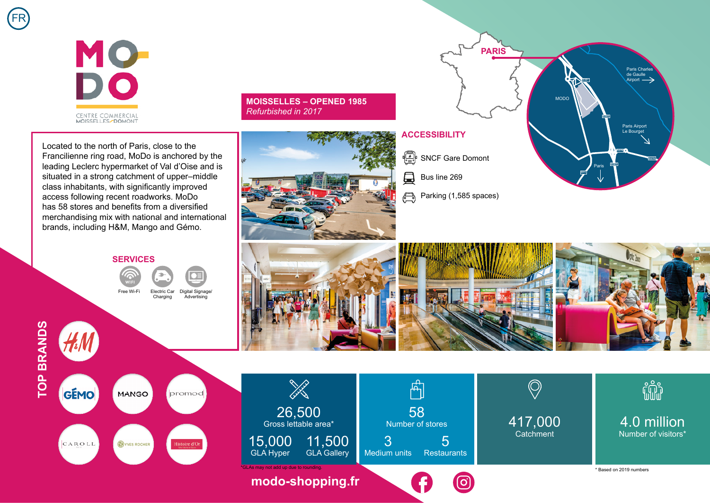

**MOISSELLES – OPENED 1985**  *Refurbished in 2017*



**SERVICES** Free Wi-Fi Electric Car

Charging Digital Signage/ Advertising



FR







Bus line 269

員

**ACCESSIBILITY**

**PARIS**









4.0 million Number of visitors\*

\* Based on 2019 numbers